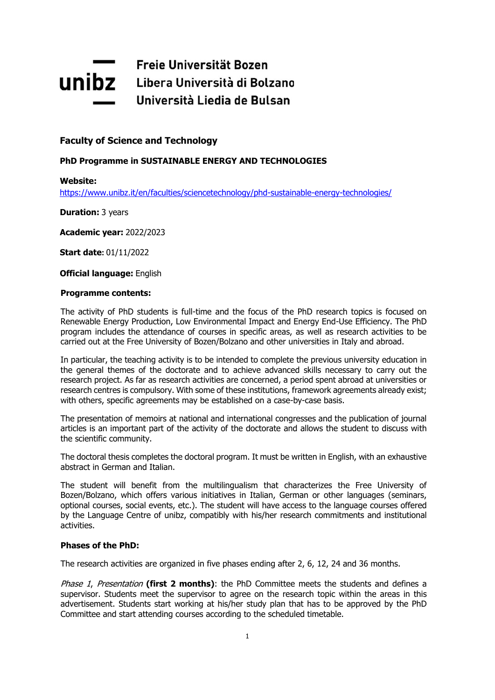# Freie Universität Bozen **Unibz** Libera Università di Bolzano Università Liedia de Bulsan

## **Faculty of Science and Technology**

## **PhD Programme in SUSTAINABLE ENERGY AND TECHNOLOGIES**

**Website:**

<https://www.unibz.it/en/faculties/sciencetechnology/phd-sustainable-energy-technologies/>

**Duration:** 3 years

**Academic year:** 2022/2023

**Start date:** 01/11/2022

**Official language:** English

#### **Programme contents:**

The activity of PhD students is full-time and the focus of the PhD research topics is focused on Renewable Energy Production, Low Environmental Impact and Energy End-Use Efficiency. The PhD program includes the attendance of courses in specific areas, as well as research activities to be carried out at the Free University of Bozen/Bolzano and other universities in Italy and abroad.

In particular, the teaching activity is to be intended to complete the previous university education in the general themes of the doctorate and to achieve advanced skills necessary to carry out the research project. As far as research activities are concerned, a period spent abroad at universities or research centres is compulsory. With some of these institutions, framework agreements already exist; with others, specific agreements may be established on a case-by-case basis.

The presentation of memoirs at national and international congresses and the publication of journal articles is an important part of the activity of the doctorate and allows the student to discuss with the scientific community.

The doctoral thesis completes the doctoral program. It must be written in English, with an exhaustive abstract in German and Italian.

The student will benefit from the multilingualism that characterizes the Free University of Bozen/Bolzano, which offers various initiatives in Italian, German or other languages (seminars, optional courses, social events, etc.). The student will have access to the language courses offered by the Language Centre of unibz, compatibly with his/her research commitments and institutional activities.

## **Phases of the PhD:**

The research activities are organized in five phases ending after 2, 6, 12, 24 and 36 months.

Phase 1, Presentation **(first 2 months)**: the PhD Committee meets the students and defines a supervisor. Students meet the supervisor to agree on the research topic within the areas in this advertisement. Students start working at his/her study plan that has to be approved by the PhD Committee and start attending courses according to the scheduled timetable.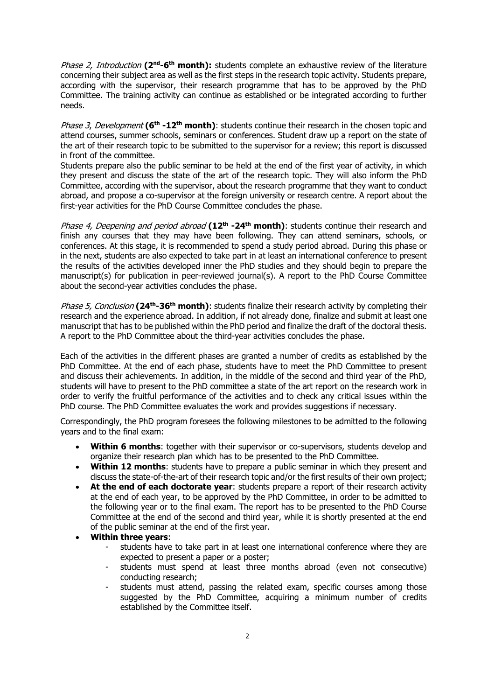Phase 2, Introduction **(2nd-6 th month):** students complete an exhaustive review of the literature concerning their subject area as well as the first steps in the research topic activity. Students prepare, according with the supervisor, their research programme that has to be approved by the PhD Committee. The training activity can continue as established or be integrated according to further needs.

Phase 3, Development **(6th -12th month)**: students continue their research in the chosen topic and attend courses, summer schools, seminars or conferences. Student draw up a report on the state of the art of their research topic to be submitted to the supervisor for a review; this report is discussed in front of the committee.

Students prepare also the public seminar to be held at the end of the first year of activity, in which they present and discuss the state of the art of the research topic. They will also inform the PhD Committee, according with the supervisor, about the research programme that they want to conduct abroad, and propose a co-supervisor at the foreign university or research centre. A report about the first-year activities for the PhD Course Committee concludes the phase.

Phase 4, Deepening and period abroad **(12th -24th month)**: students continue their research and finish any courses that they may have been following. They can attend seminars, schools, or conferences. At this stage, it is recommended to spend a study period abroad. During this phase or in the next, students are also expected to take part in at least an international conference to present the results of the activities developed inner the PhD studies and they should begin to prepare the manuscript(s) for publication in peer-reviewed journal(s). A report to the PhD Course Committee about the second-year activities concludes the phase.

Phase 5, Conclusion **(24th-36th month)**: students finalize their research activity by completing their research and the experience abroad. In addition, if not already done, finalize and submit at least one manuscript that has to be published within the PhD period and finalize the draft of the doctoral thesis. A report to the PhD Committee about the third-year activities concludes the phase.

Each of the activities in the different phases are granted a number of credits as established by the PhD Committee. At the end of each phase, students have to meet the PhD Committee to present and discuss their achievements. In addition, in the middle of the second and third year of the PhD, students will have to present to the PhD committee a state of the art report on the research work in order to verify the fruitful performance of the activities and to check any critical issues within the PhD course. The PhD Committee evaluates the work and provides suggestions if necessary.

Correspondingly, the PhD program foresees the following milestones to be admitted to the following years and to the final exam:

- **Within 6 months:** together with their supervisor or co-supervisors, students develop and organize their research plan which has to be presented to the PhD Committee.
- **Within 12 months**: students have to prepare a public seminar in which they present and discuss the state-of-the-art of their research topic and/or the first results of their own project;
- **At the end of each doctorate year**: students prepare a report of their research activity at the end of each year, to be approved by the PhD Committee, in order to be admitted to the following year or to the final exam. The report has to be presented to the PhD Course Committee at the end of the second and third year, while it is shortly presented at the end of the public seminar at the end of the first year.

## **Within three years**:

- students have to take part in at least one international conference where they are expected to present a paper or a poster;
- students must spend at least three months abroad (even not consecutive) conducting research;
- students must attend, passing the related exam, specific courses among those suggested by the PhD Committee, acquiring a minimum number of credits established by the Committee itself.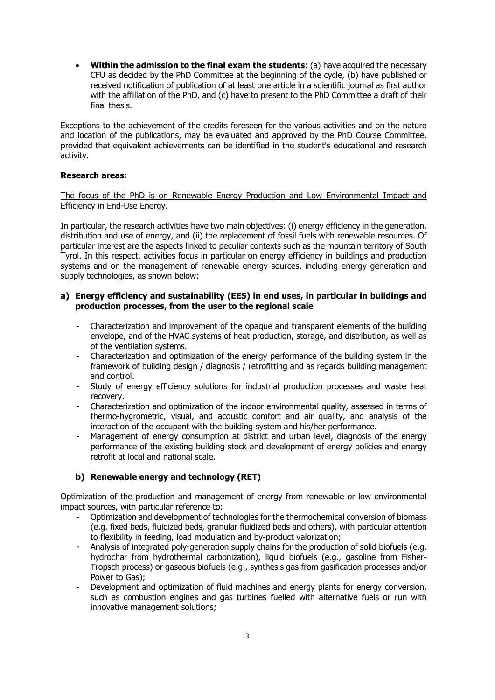**Within the admission to the final exam the students**: (a) have acquired the necessary CFU as decided by the PhD Committee at the beginning of the cycle, (b) have published or received notification of publication of at least one article in a scientific journal as first author with the affiliation of the PhD, and (c) have to present to the PhD Committee a draft of their final thesis.

Exceptions to the achievement of the credits foreseen for the various activities and on the nature and location of the publications, may be evaluated and approved by the PhD Course Committee, provided that equivalent achievements can be identified in the student's educational and research activity.

## **Research areas:**

The focus of the PhD is on Renewable Energy Production and Low Environmental Impact and Efficiency in End-Use Energy.

In particular, the research activities have two main objectives: (i) energy efficiency in the generation, distribution and use of energy, and (ii) the replacement of fossil fuels with renewable resources. Of particular interest are the aspects linked to peculiar contexts such as the mountain territory of South Tyrol. In this respect, activities focus in particular on energy efficiency in buildings and production systems and on the management of renewable energy sources, including energy generation and supply technologies, as shown below:

## **a) Energy efficiency and sustainability (EES) in end uses, in particular in buildings and production processes, from the user to the regional scale**

- Characterization and improvement of the opaque and transparent elements of the building envelope, and of the HVAC systems of heat production, storage, and distribution, as well as of the ventilation systems.
- - Characterization and optimization of the energy performance of the building system in the framework of building design / diagnosis / retrofitting and as regards building management and control.
- - Study of energy efficiency solutions for industrial production processes and waste heat recovery.
- - Characterization and optimization of the indoor environmental quality, assessed in terms of thermo-hygrometric, visual, and acoustic comfort and air quality, and analysis of the interaction of the occupant with the building system and his/her performance.
- Management of energy consumption at district and urban level, diagnosis of the energy performance of the existing building stock and development of energy policies and energy retrofit at local and national scale.

## **b) Renewable energy and technology (RET)**

Optimization of the production and management of energy from renewable or low environmental impact sources, with particular reference to:

- Optimization and development of technologies for the thermochemical conversion of biomass (e.g. fixed beds, fluidized beds, granular fluidized beds and others), with particular attention to flexibility in feeding, load modulation and by-product valorization;
- - Analysis of integrated poly-generation supply chains for the production of solid biofuels (e.g. hydrochar from hydrothermal carbonization), liquid biofuels (e.g., gasoline from Fisher-Tropsch process) or gaseous biofuels (e.g., synthesis gas from gasification processes and/or Power to Gas);
- Development and optimization of fluid machines and energy plants for energy conversion, such as combustion engines and gas turbines fuelled with alternative fuels or run with innovative management solutions;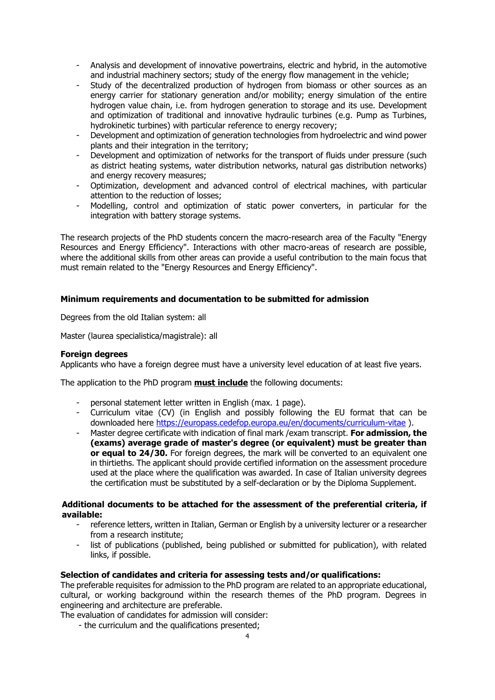- Analysis and development of innovative powertrains, electric and hybrid, in the automotive and industrial machinery sectors; study of the energy flow management in the vehicle;
- - Study of the decentralized production of hydrogen from biomass or other sources as an energy carrier for stationary generation and/or mobility; energy simulation of the entire hydrogen value chain, i.e. from hydrogen generation to storage and its use. Development and optimization of traditional and innovative hydraulic turbines (e.g. Pump as Turbines, hydrokinetic turbines) with particular reference to energy recovery;
- Development and optimization of generation technologies from hydroelectric and wind power plants and their integration in the territory;
- - Development and optimization of networks for the transport of fluids under pressure (such as district heating systems, water distribution networks, natural gas distribution networks) and energy recovery measures;
- Optimization, development and advanced control of electrical machines, with particular attention to the reduction of losses;
- - Modelling, control and optimization of static power converters, in particular for the integration with battery storage systems.

The research projects of the PhD students concern the macro-research area of the Faculty "Energy Resources and Energy Efficiency". Interactions with other macro-areas of research are possible, where the additional skills from other areas can provide a useful contribution to the main focus that must remain related to the "Energy Resources and Energy Efficiency".

## **Minimum requirements and documentation to be submitted for admission**

Degrees from the old Italian system: all

Master (laurea specialistica/magistrale): all

#### **Foreign degrees**

Applicants who have a foreign degree must have a university level education of at least five years.

The application to the PhD program **must include** the following documents:

- personal statement letter written in English (max. 1 page).
- Curriculum vitae (CV) (in English and possibly following the EU format that can be downloaded here<https://europass.cedefop.europa.eu/en/documents/curriculum-vitae>).
- - Master degree certificate with indication of final mark /exam transcript. **For admission, the (exams) average grade of master's degree (or equivalent) must be greater than or equal to 24/30.** For foreign degrees, the mark will be converted to an equivalent one in thirtieths. The applicant should provide certified information on the assessment procedure used at the place where the qualification was awarded. In case of Italian university degrees the certification must be substituted by a self-declaration or by the Diploma Supplement.

## **Additional documents to be attached for the assessment of the preferential criteria, if available:**

- reference letters, written in Italian, German or English by a university lecturer or a researcher from a research institute;
- list of publications (published, being published or submitted for publication), with related links, if possible.

## **Selection of candidates and criteria for assessing tests and/or qualifications:**

The preferable requisites for admission to the PhD program are related to an appropriate educational, cultural, or working background within the research themes of the PhD program. Degrees in engineering and architecture are preferable.

The evaluation of candidates for admission will consider:

- the curriculum and the qualifications presented;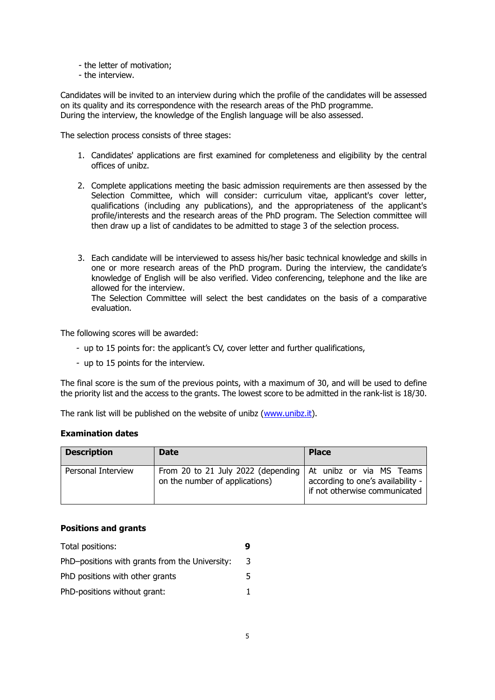- the letter of motivation;
- the interview.

Candidates will be invited to an interview during which the profile of the candidates will be assessed on its quality and its correspondence with the research areas of the PhD programme. During the interview, the knowledge of the English language will be also assessed.

The selection process consists of three stages:

- 1. Candidates' applications are first examined for completeness and eligibility by the central offices of unibz.
- 2. Complete applications meeting the basic admission requirements are then assessed by the Selection Committee, which will consider: curriculum vitae, applicant's cover letter, qualifications (including any publications), and the appropriateness of the applicant's profile/interests and the research areas of the PhD program. The Selection committee will then draw up a list of candidates to be admitted to stage 3 of the selection process.
- 3. Each candidate will be interviewed to assess his/her basic technical knowledge and skills in one or more research areas of the PhD program. During the interview, the candidate's knowledge of English will be also verified. Video conferencing, telephone and the like are allowed for the interview. The Selection Committee will select the best candidates on the basis of a comparative

evaluation.

The following scores will be awarded:

- up to 15 points for: the applicant's CV, cover letter and further qualifications,
- up to 15 points for the interview.

The final score is the sum of the previous points, with a maximum of 30, and will be used to define the priority list and the access to the grants. The lowest score to be admitted in the rank-list is 18/30.

The rank list will be published on the website of unibz [\(www.unibz.it\)](http://www.unibz.it/).

## **Examination dates**

| <b>Description</b> | <b>Date</b>                                                          | <b>Place</b>                                                                                   |
|--------------------|----------------------------------------------------------------------|------------------------------------------------------------------------------------------------|
| Personal Interview | From 20 to 21 July 2022 (depending<br>on the number of applications) | At unibz or via MS Teams<br>according to one's availability -<br>if not otherwise communicated |

## **Positions and grants**

| Total positions:                               |    |
|------------------------------------------------|----|
| PhD-positions with grants from the University: | 3  |
| PhD positions with other grants                | 5. |
| PhD-positions without grant:                   |    |